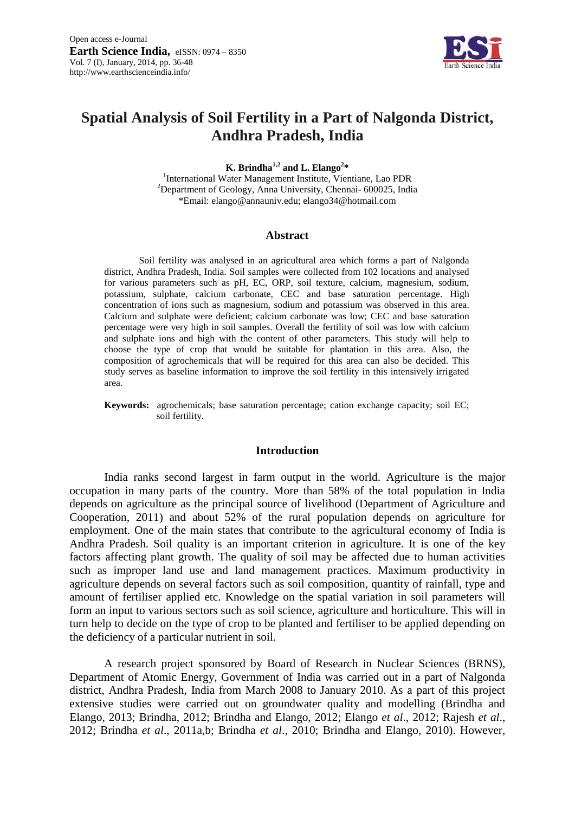

# **Spatial Analysis of Soil Fertility in a Part of Nalgonda District, Andhra Pradesh, India**

**K. Brindha**<sup>1,2</sup> and **L. Elango**<sup>2\*</sup> **K. Brindha<sup>1,2</sup> and L. Elango<sup>2\*</sup>**<br><sup>1</sup>International Water Management Institute, View

 $\frac{1}{2}$ International Water Management Institute, Vientiane, Lao PDR<br> $\frac{2}{2}$ Denestment of Goology, Anna University, Channel, 600025, Ind. \*Email: elango@annauniv.edu; elango34@hotmail.com  $^{2}$ Department of Geology, Anna University, Chennai- 600025, India

#### **Abstract**

Soil fertility was analysed in an agricultural area which forms a part of Nalgonda district, Andhra Pradesh, India. Soil samples were collected from 102 locations and analysed for various parameters such as pH, EC, ORP, soil texture, calcium, magnesium, sodium, potassium, sulphate, calcium carbonate, CEC and base saturation percentage. High concentration of ions such as magnesium, sodium and potassium was observed in this area. Calcium and sulphate were deficient; calcium carbonate was low; CEC and base saturation percentage were very high in soil samples. Overall the fertility of soil was low with calcium and sulphate ions and high with the content of other parameters. This study will help to choose the type of crop that would be suitable for plantation in this area. Also, the composition of agrochemicals that will be required for this area can also be decided. This study serves as baseline information to improve the soil fertility in this intensively irrigated area.

**Keywords:** agrochemicals; base saturation percentage; cation exchange capacity; soil EC; soil fertility.

# **Introduction**

India ranks second largest in farm output in the world. Agriculture is the major occupation in many parts of the country. More than 58% of the total population in India depends on agriculture as the principal source of livelihood (Department of Agriculture and Cooperation, 2011) and about 52% of the rural population depends on agriculture for employment. One of the main states that contribute to the agricultural economy of India is Andhra Pradesh. Soil quality is an important criterion in agriculture. It is one of the key factors affecting plant growth. The quality of soil may be affected due to human activities such as improper land use and land management practices. Maximum productivity in agriculture depends on several factors such as soil composition, quantity of rainfall, type and amount of fertiliser applied etc. Knowledge on the spatial variation in soil parameters will form an input to various sectors such as soil science, agriculture and horticulture. This will in turn help to decide on the type of crop to be planted and fertiliser to be applied depending on the deficiency of a particular nutrient in soil.

A research project sponsored by Board of Research in Nuclear Sciences (BRNS), Department of Atomic Energy, Government of India was carried out in a part of Nalgonda district, Andhra Pradesh, India from March 2008 to January 2010. As a part of this project extensive studies were carried out on groundwater quality and modelling (Brindha and Elango, 2013; Brindha, 2012; Brindha and Elango, 2012; Elango *et al*., 2012; Rajesh *et al*., 2012; Brindha *et al*., 2011a,b; Brindha *et al*., 2010; Brindha and Elango, 2010). However,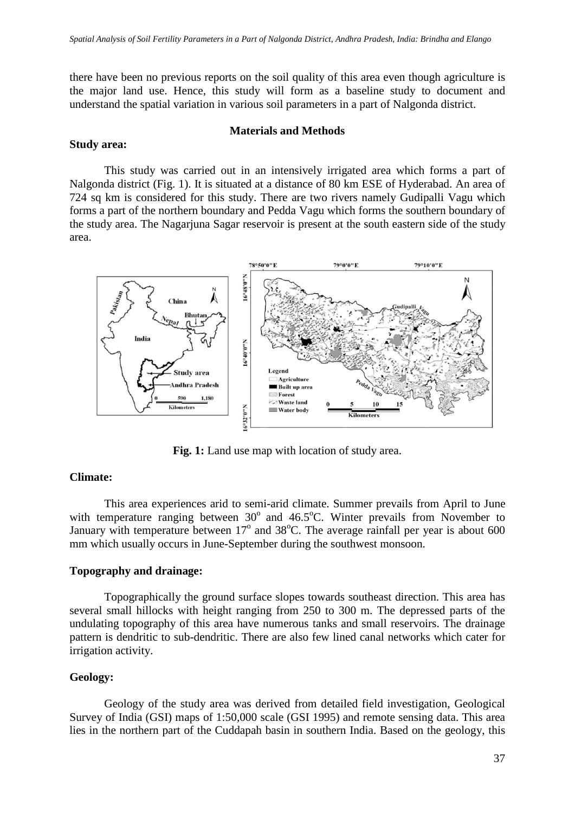there have been no previous reports on the soil quality of this area even though agriculture is the major land use. Hence, this study will form as a baseline study to document and understand the spatial variation in various soil parameters in a part of Nalgonda district.

#### **Materials and Methods**

#### **Study area:**

This study was carried out in an intensively irrigated area which forms a part of Nalgonda district (Fig. 1). It is situated at a distance of 80 km ESE of Hyderabad. An area of 724 sq km is considered for this study. There are two rivers namely Gudipalli Vagu which forms a part of the northern boundary and Pedda Vagu which forms the southern boundary of the study area. The Nagarjuna Sagar reservoir is present at the south eastern side of the study area.



Fig. 1: Land use map with location of study area.

# **Climate:**

This area experiences arid to semi-arid climate. Summer prevails from April to June with temperature ranging between  $30^{\circ}$  and  $46.5^{\circ}$ C. Winter prevails from November to January with temperature between  $17^{\circ}$  and  $38^{\circ}$ C. The average rainfall per year is about 600 mm which usually occurs in June-September during the southwest monsoon.

# **Topography and drainage:**

Topographically the ground surface slopes towards southeast direction. This area has several small hillocks with height ranging from 250 to 300 m. The depressed parts of the undulating topography of this area have numerous tanks and small reservoirs. The drainage pattern is dendritic to sub-dendritic. There are also few lined canal networks which cater for irrigation activity.

# **Geology:**

Geology of the study area was derived from detailed field investigation, Geological Survey of India (GSI) maps of 1:50,000 scale (GSI 1995) and remote sensing data. This area lies in the northern part of the Cuddapah basin in southern India. Based on the geology, this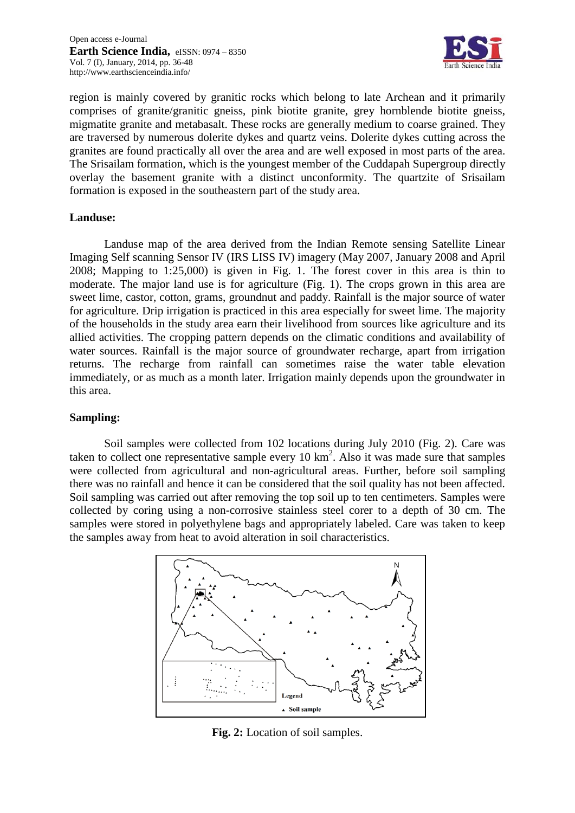

region is mainly covered by granitic rocks which belong to late Archean and it primarily comprises of granite/granitic gneiss, pink biotite granite, grey hornblende biotite gneiss, migmatite granite and metabasalt. These rocks are generally medium to coarse grained. They are traversed by numerous dolerite dykes and quartz veins. Dolerite dykes cutting across the granites are found practically all over the area and are well exposed in most parts of the area. The Srisailam formation, which is the youngest member of the Cuddapah Supergroup directly overlay the basement granite with a distinct unconformity. The quartzite of Srisailam formation is exposed in the southeastern part of the study area.

# **Landuse:**

Landuse map of the area derived from the Indian Remote sensing Satellite Linear Imaging Self scanning Sensor IV (IRS LISS IV) imagery (May 2007, January 2008 and April 2008; Mapping to 1:25,000) is given in Fig. 1. The forest cover in this area is thin to moderate. The major land use is for agriculture (Fig. 1). The crops grown in this area are sweet lime, castor, cotton, grams, groundnut and paddy. Rainfall is the major source of water for agriculture. Drip irrigation is practiced in this area especially for sweet lime. The majority of the households in the study area earn their livelihood from sources like agriculture and its allied activities. The cropping pattern depends on the climatic conditions and availability of water sources. Rainfall is the major source of groundwater recharge, apart from irrigation returns. The recharge from rainfall can sometimes raise the water table elevation immediately, or as much as a month later. Irrigation mainly depends upon the groundwater in this area.

# **Sampling:**

Soil samples were collected from 102 locations during July 2010 (Fig. 2). Care was taken to collect one representative sample every  $10 \text{ km}^2$ . Also it was made sure that samples were collected from agricultural and non-agricultural areas. Further, before soil sampling there was no rainfall and hence it can be considered that the soil quality has not been affected. Soil sampling was carried out after removing the top soil up to ten centimeters. Samples were collected by coring using a non-corrosive stainless steel corer to a depth of 30 cm. The samples were stored in polyethylene bags and appropriately labeled. Care was taken to keep the samples away from heat to avoid alteration in soil characteristics.



**Fig. 2:** Location of soil samples.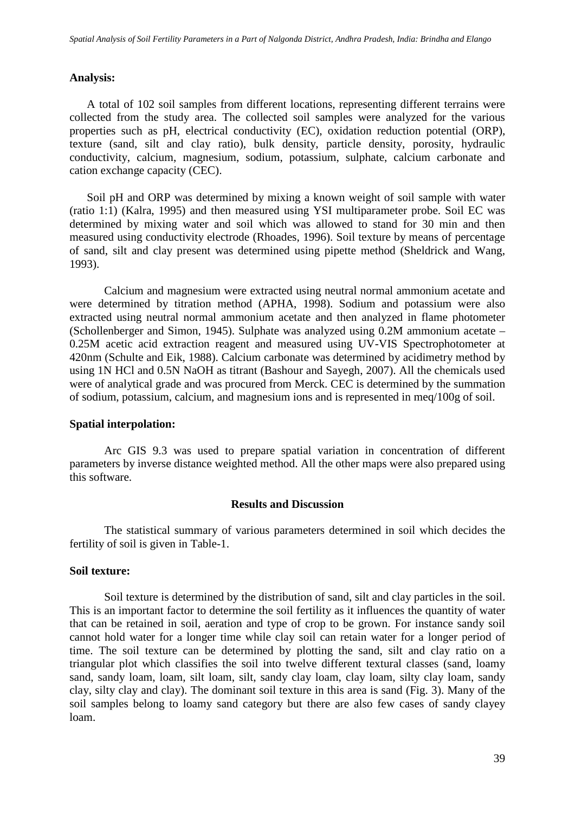# **Analysis:**

A total of 102 soil samples from different locations, representing different terrains were collected from the study area. The collected soil samples were analyzed for the various properties such as pH, electrical conductivity (EC), oxidation reduction potential (ORP), texture (sand, silt and clay ratio), bulk density, particle density, porosity, hydraulic conductivity, calcium, magnesium, sodium, potassium, sulphate, calcium carbonate and cation exchange capacity (CEC).

Soil pH and ORP was determined by mixing a known weight of soil sample with water (ratio 1:1) (Kalra, 1995) and then measured using YSI multiparameter probe. Soil EC was determined by mixing water and soil which was allowed to stand for 30 min and then measured using conductivity electrode (Rhoades, 1996). Soil texture by means of percentage of sand, silt and clay present was determined using pipette method (Sheldrick and Wang, 1993).

Calcium and magnesium were extracted using neutral normal ammonium acetate and were determined by titration method (APHA, 1998). Sodium and potassium were also extracted using neutral normal ammonium acetate and then analyzed in flame photometer (Schollenberger and Simon, 1945). Sulphate was analyzed using 0.2M ammonium acetate – 0.25M acetic acid extraction reagent and measured using UV-VIS Spectrophotometer at 420nm (Schulte and Eik, 1988). Calcium carbonate was determined by acidimetry method by using 1N HCl and 0.5N NaOH as titrant (Bashour and Sayegh, 2007). All the chemicals used were of analytical grade and was procured from Merck. CEC is determined by the summation of sodium, potassium, calcium, and magnesium ions and is represented in meq/100g of soil.

#### **Spatial interpolation:**

Arc GIS 9.3 was used to prepare spatial variation in concentration of different parameters by inverse distance weighted method. All the other maps were also prepared using this software.

# **Results and Discussion**

The statistical summary of various parameters determined in soil which decides the fertility of soil is given in Table-1.

# **Soil texture:**

Soil texture is determined by the distribution of sand, silt and clay particles in the soil. This is an important factor to determine the soil fertility as it influences the quantity of water that can be retained in soil, aeration and type of crop to be grown. For instance sandy soil cannot hold water for a longer time while clay soil can retain water for a longer period of time. The soil texture can be determined by plotting the sand, silt and clay ratio on a triangular plot which classifies the soil into twelve different textural classes (sand, loamy sand, sandy loam, loam, silt loam, silt, sandy clay loam, clay loam, silty clay loam, sandy clay, silty clay and clay). The dominant soil texture in this area is sand (Fig. 3). Many of the soil samples belong to loamy sand category but there are also few cases of sandy clayey loam.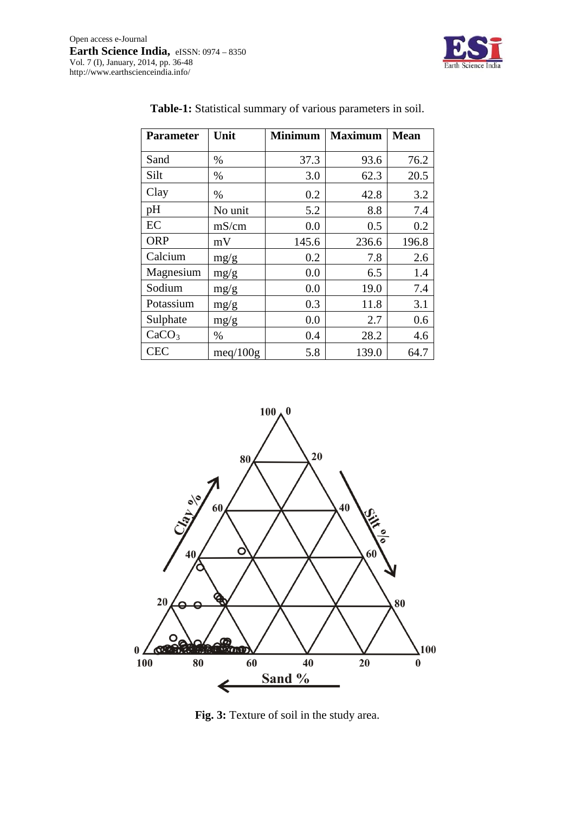

| <b>Parameter</b>  | Unit     | <b>Minimum</b> | <b>Maximum</b> | <b>Mean</b> |
|-------------------|----------|----------------|----------------|-------------|
| Sand              | %        | 37.3           | 93.6           | 76.2        |
| Silt              | %        | 3.0            | 62.3           | 20.5        |
| Clay              | %        | 0.2            | 42.8           | 3.2         |
| pH                | No unit  | 5.2            | 8.8            | 7.4         |
| EC                | mS/cm    | 0.0            | 0.5            | 0.2         |
| <b>ORP</b>        | mV       | 145.6          | 236.6          | 196.8       |
| Calcium           | mg/g     | 0.2            | 7.8            | 2.6         |
| Magnesium         | mg/g     | 0.0            | 6.5            | 1.4         |
| Sodium            | mg/g     | 0.0            | 19.0           | 7.4         |
| Potassium         | mg/g     | 0.3            | 11.8           | 3.1         |
| Sulphate          | mg/g     | 0.0            | 2.7            | 0.6         |
| CaCO <sub>3</sub> | %        | 0.4            | 28.2           | 4.6         |
| <b>CEC</b>        | meq/100g | 5.8            | 139.0          | 64.7        |

# **Table-1:** Statistical summary of various parameters in soil.



**Fig. 3:** Texture of soil in the study area.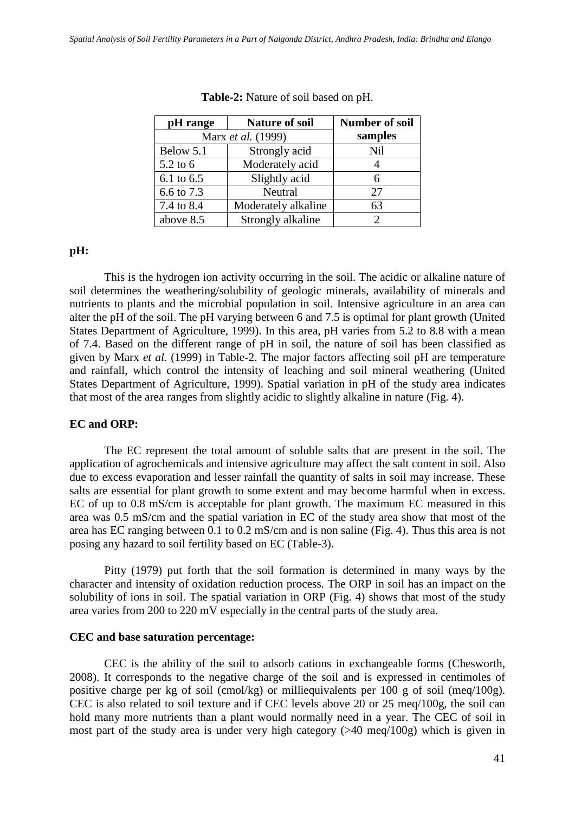| pH range<br><b>Nature of soil</b> |                     | Number of soil |  |
|-----------------------------------|---------------------|----------------|--|
| Marx et al. (1999)                |                     | samples        |  |
| Below 5.1                         | Strongly acid       | <b>Nil</b>     |  |
| 5.2 to 6                          | Moderately acid     |                |  |
| 6.1 to 6.5                        | Slightly acid       | 6              |  |
| 6.6 to 7.3                        | Neutral             | 27             |  |
| 7.4 to 8.4                        | Moderately alkaline | 63             |  |
| above 8.5                         | Strongly alkaline   | 2              |  |

**Table-2:** Nature of soil based on pH.

# **pH:**

This is the hydrogen ion activity occurring in the soil. The acidic or alkaline nature of soil determines the weathering/solubility of geologic minerals, availability of minerals and nutrients to plants and the microbial population in soil. Intensive agriculture in an area can alter the pH of the soil. The pH varying between 6 and 7.5 is optimal for plant growth (United States Department of Agriculture, 1999). In this area, pH varies from 5.2 to 8.8 with a mean of 7.4. Based on the different range of pH in soil, the nature of soil has been classified as given by Marx *et al.* (1999) in Table-2. The major factors affecting soil pH are temperature and rainfall, which control the intensity of leaching and soil mineral weathering (United States Department of Agriculture, 1999). Spatial variation in pH of the study area indicates that most of the area ranges from slightly acidic to slightly alkaline in nature (Fig. 4).

# **EC and ORP:**

The EC represent the total amount of soluble salts that are present in the soil. The application of agrochemicals and intensive agriculture may affect the salt content in soil. Also due to excess evaporation and lesser rainfall the quantity of salts in soil may increase. These salts are essential for plant growth to some extent and may become harmful when in excess. EC of up to 0.8 mS/cm is acceptable for plant growth. The maximum EC measured in this area was 0.5 mS/cm and the spatial variation in EC of the study area show that most of the area has EC ranging between 0.1 to 0.2 mS/cm and is non saline (Fig. 4). Thus this area is not posing any hazard to soil fertility based on EC (Table-3).

Pitty (1979) put forth that the soil formation is determined in many ways by the character and intensity of oxidation reduction process. The ORP in soil has an impact on the solubility of ions in soil. The spatial variation in ORP (Fig. 4) shows that most of the study area varies from 200 to 220 mV especially in the central parts of the study area.

# **CEC and base saturation percentage:**

CEC is the ability of the soil to adsorb cations in exchangeable forms (Chesworth, 2008). It corresponds to the negative charge of the soil and is expressed in centimoles of positive charge per kg of soil (cmol/kg) or milliequivalents per 100 g of soil (meq/100g). CEC is also related to soil texture and if CEC levels above 20 or 25 meq/100g, the soil can hold many more nutrients than a plant would normally need in a year. The CEC of soil in most part of the study area is under very high category (>40 meq/100g) which is given in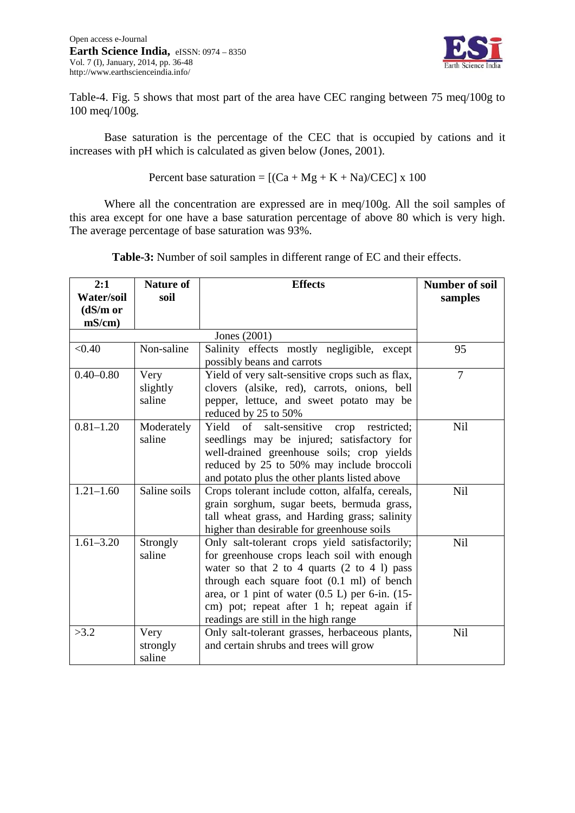

Table-4. Fig. 5 shows that most part of the area have CEC ranging between 75 meq/100g to 100 meq/100g.

Base saturation is the percentage of the CEC that is occupied by cations and it increases with pH which is calculated as given below (Jones, 2001).

Percent base saturation =  $[(Ca + Mg + K + Na)/CEC] \times 100$ 

Where all the concentration are expressed are in meq/100g. All the soil samples of this area except for one have a base saturation percentage of above 80 which is very high. The average percentage of base saturation was 93%.

| 2:1               | <b>Nature of</b> | <b>Effects</b>                                           | <b>Number of soil</b> |
|-------------------|------------------|----------------------------------------------------------|-----------------------|
| <b>Water/soil</b> | soil             |                                                          | samples               |
| (dS/m or          |                  |                                                          |                       |
| $mS/cm$ )         |                  |                                                          |                       |
|                   |                  | Jones (2001)                                             |                       |
| < 0.40            | Non-saline       | Salinity effects mostly negligible, except               | 95                    |
|                   |                  | possibly beans and carrots                               |                       |
| $0.40 - 0.80$     | Very             | Yield of very salt-sensitive crops such as flax,         | 7                     |
|                   | slightly         | clovers (alsike, red), carrots, onions, bell             |                       |
|                   | saline           | pepper, lettuce, and sweet potato may be                 |                       |
|                   |                  | reduced by 25 to 50%                                     |                       |
| $0.81 - 1.20$     | Moderately       | Yield of salt-sensitive<br>crop restricted;              | Nil                   |
|                   | saline           | seedlings may be injured; satisfactory for               |                       |
|                   |                  | well-drained greenhouse soils; crop yields               |                       |
|                   |                  | reduced by 25 to 50% may include broccoli                |                       |
|                   |                  | and potato plus the other plants listed above            |                       |
| $1.21 - 1.60$     | Saline soils     | Crops tolerant include cotton, alfalfa, cereals,         | Nil                   |
|                   |                  | grain sorghum, sugar beets, bermuda grass,               |                       |
|                   |                  | tall wheat grass, and Harding grass; salinity            |                       |
|                   |                  | higher than desirable for greenhouse soils               |                       |
| $1.61 - 3.20$     | Strongly         | Only salt-tolerant crops yield satisfactorily;           | Nil                   |
|                   | saline           | for greenhouse crops leach soil with enough              |                       |
|                   |                  | water so that $2$ to $4$ quarts $(2 \text{ to } 4)$ pass |                       |
|                   |                  | through each square foot $(0.1 \text{ ml})$ of bench     |                       |
|                   |                  | area, or 1 pint of water $(0.5 L)$ per 6-in. $(15$ -     |                       |
|                   |                  | cm) pot; repeat after 1 h; repeat again if               |                       |
|                   |                  | readings are still in the high range                     |                       |
| >3.2              | Very             | Only salt-tolerant grasses, herbaceous plants,           | Nil                   |
|                   | strongly         | and certain shrubs and trees will grow                   |                       |
|                   | saline           |                                                          |                       |

**Table-3:** Number of soil samples in different range of EC and their effects.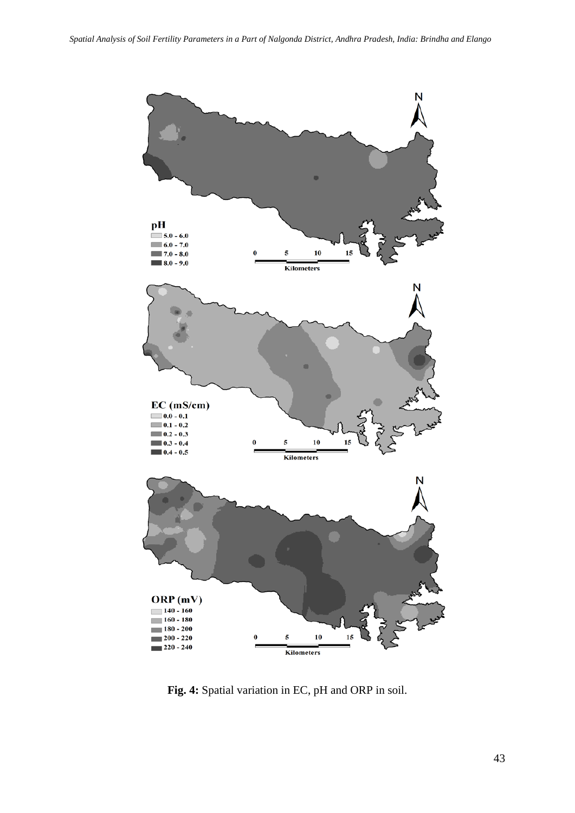

**Fig. 4:** Spatial variation in EC, pH and ORP in soil.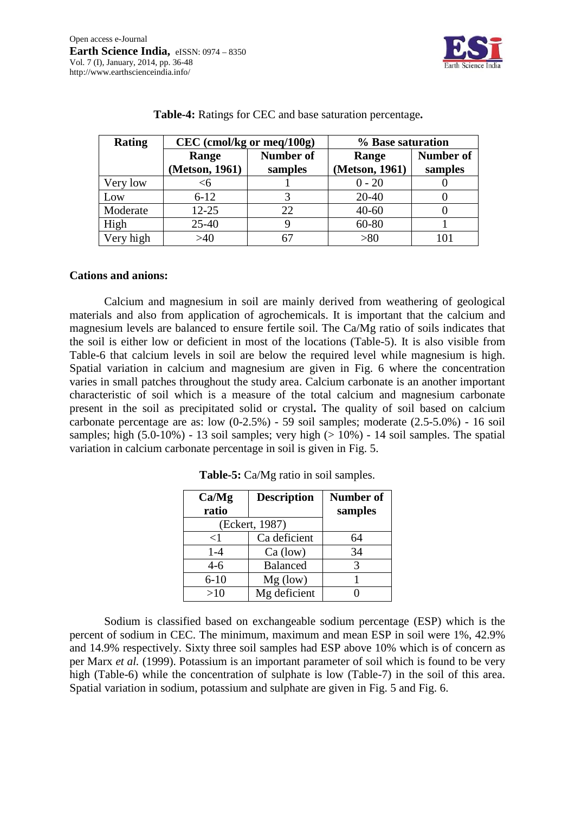

| <b>Rating</b> | $CEC$ (cmol/kg or meq/100g) |         | % Base saturation |                  |  |
|---------------|-----------------------------|---------|-------------------|------------------|--|
|               | <b>Number of</b><br>Range   |         | Range             | <b>Number of</b> |  |
|               | (Metson, 1961)              | samples | (Metson, 1961)    | samples          |  |
| Very low      |                             |         | $0 - 20$          |                  |  |
| Low           | $6 - 12$                    |         | $20 - 40$         |                  |  |
| Moderate      | $12 - 25$                   | 22      | $40 - 60$         |                  |  |
| High          | $25 - 40$                   |         | 60-80             |                  |  |
| Very high     | >40                         |         | > 80              | 101              |  |

|  |  |  |  |  | Table-4: Ratings for CEC and base saturation percentage. |
|--|--|--|--|--|----------------------------------------------------------|
|--|--|--|--|--|----------------------------------------------------------|

# **Cations and anions:**

Calcium and magnesium in soil are mainly derived from weathering of geological materials and also from application of agrochemicals. It is important that the calcium and magnesium levels are balanced to ensure fertile soil. The Ca/Mg ratio of soils indicates that the soil is either low or deficient in most of the locations (Table-5). It is also visible from Table-6 that calcium levels in soil are below the required level while magnesium is high. Spatial variation in calcium and magnesium are given in Fig. 6 where the concentration varies in small patches throughout the study area. Calcium carbonate is an another important characteristic of soil which is a measure of the total calcium and magnesium carbonate present in the soil as precipitated solid or crystal**.** The quality of soil based on calcium carbonate percentage are as: low (0-2.5%) - 59 soil samples; moderate (2.5-5.0%) - 16 soil samples; high  $(5.0-10\%)$  - 13 soil samples; very high  $(>10\%)$  - 14 soil samples. The spatial variation in calcium carbonate percentage in soil is given in Fig. 5.

| Ca/Mg    | <b>Description</b> |         |
|----------|--------------------|---------|
| ratio    |                    | samples |
|          | (Eckert, 1987)     |         |
| $<$ 1    | Ca deficient       | 64      |
| $1-4$    | $Ca$ (low)         | 34      |
| $4 - 6$  | <b>Balanced</b>    | 3       |
| $6 - 10$ | $Mg$ (low)         |         |
| >10      | Mg deficient       |         |

**Table-5:** Ca/Mg ratio in soil samples.

Sodium is classified based on exchangeable sodium percentage (ESP) which is the percent of sodium in CEC. The minimum, maximum and mean ESP in soil were 1%, 42.9% and 14.9% respectively. Sixty three soil samples had ESP above 10% which is of concern as per Marx *et al.* (1999). Potassium is an important parameter of soil which is found to be very high (Table-6) while the concentration of sulphate is low (Table-7) in the soil of this area. Spatial variation in sodium, potassium and sulphate are given in Fig. 5 and Fig. 6.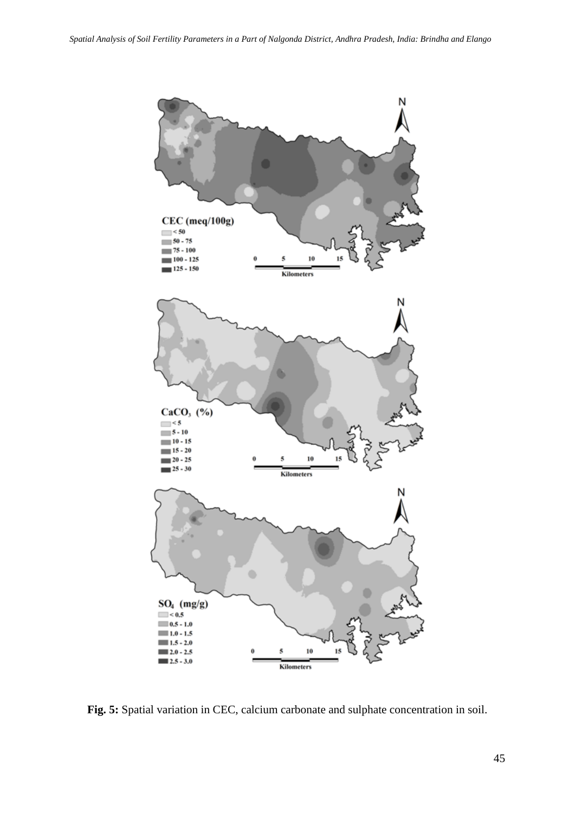

**Fig. 5:** Spatial variation in CEC, calcium carbonate and sulphate concentration in soil.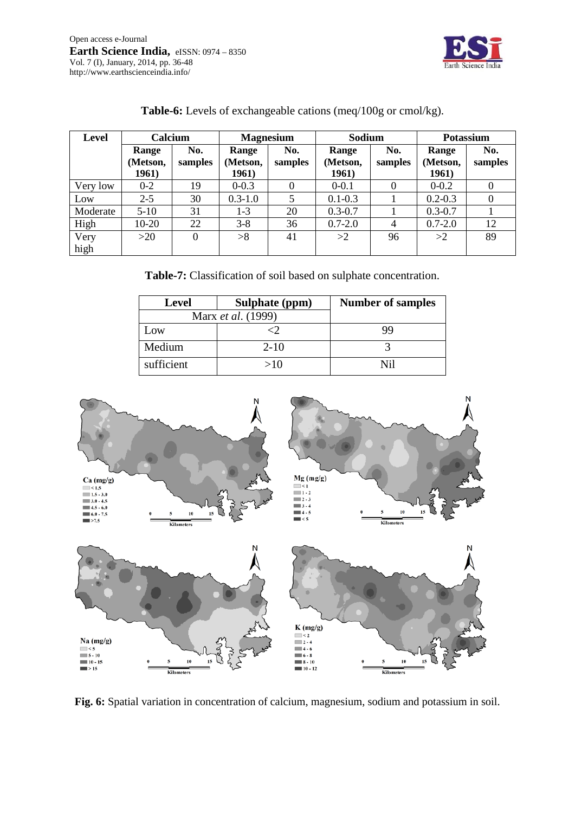

| Level        | Calcium                    |                | <b>Magnesium</b>           |                | Sodium                     |                | <b>Potassium</b>           |                |
|--------------|----------------------------|----------------|----------------------------|----------------|----------------------------|----------------|----------------------------|----------------|
|              | Range<br>(Metson,<br>1961) | No.<br>samples | Range<br>(Metson,<br>1961) | No.<br>samples | Range<br>(Metson,<br>1961) | No.<br>samples | Range<br>(Metson,<br>1961) | No.<br>samples |
| Very low     | $0 - 2$                    | 19             | $0 - 0.3$                  | 0              | $0 - 0.1$                  | 0              | $0 - 0.2$                  | $\theta$       |
| Low          | $2 - 5$                    | 30             | $0.3 - 1.0$                |                | $0.1 - 0.3$                |                | $0.2 - 0.3$                | $\Omega$       |
| Moderate     | $5-10$                     | 31             | $1-3$                      | 20             | $0.3 - 0.7$                |                | $0.3 - 0.7$                |                |
| High         | 10-20                      | 22             | $3 - 8$                    | 36             | $0.7 - 2.0$                | $\overline{4}$ | $0.7 - 2.0$                | 12             |
| Very<br>high | $>20$                      | $\Omega$       | >8                         | 41             | >2                         | 96             | >2                         | 89             |

# **Table-6:** Levels of exchangeable cations (meq/100g or cmol/kg).

**Table-7:** Classification of soil based on sulphate concentration.

| <b>Level</b>       | Sulphate (ppm) | <b>Number of samples</b> |
|--------------------|----------------|--------------------------|
| Marx et al. (1999) |                |                          |
| Low                |                | qq                       |
| Medium             | $2 - 10$       |                          |
| sufficient         | >10            |                          |



**Fig. 6:** Spatial variation in concentration of calcium, magnesium, sodium and potassium in soil.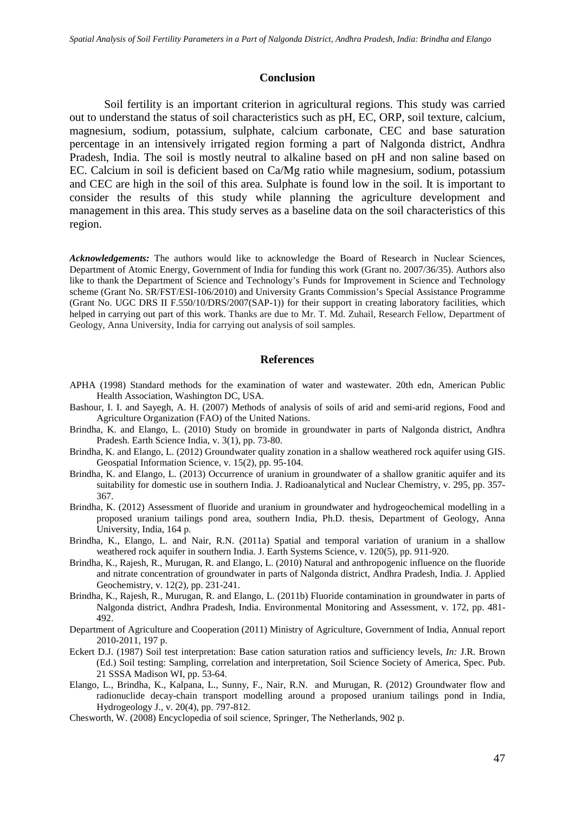#### **Conclusion**

Soil fertility is an important criterion in agricultural regions. This study was carried out to understand the status of soil characteristics such as pH, EC, ORP, soil texture, calcium, magnesium, sodium, potassium, sulphate, calcium carbonate, CEC and base saturation percentage in an intensively irrigated region forming a part of Nalgonda district, Andhra Pradesh, India. The soil is mostly neutral to alkaline based on pH and non saline based on EC. Calcium in soil is deficient based on Ca/Mg ratio while magnesium, sodium, potassium and CEC are high in the soil of this area. Sulphate is found low in the soil. It is important to consider the results of this study while planning the agriculture development and management in this area. This study serves as a baseline data on the soil characteristics of this region.

*Acknowledgements:* The authors would like to acknowledge the Board of Research in Nuclear Sciences, Department of Atomic Energy, Government of India for funding this work (Grant no. 2007/36/35). Authors also like to thank the Department of Science and Technology's Funds for Improvement in Science and Technology scheme (Grant No. SR/FST/ESI-106/2010) and University Grants Commission's Special Assistance Programme (Grant No. UGC DRS II F.550/10/DRS/2007(SAP-1)) for their support in creating laboratory facilities, which helped in carrying out part of this work. Thanks are due to Mr. T. Md. Zuhail, Research Fellow, Department of Geology, Anna University, India for carrying out analysis of soil samples.

#### **References**

- APHA (1998) Standard methods for the examination of water and wastewater. 20th edn, American Public Health Association, Washington DC, USA.
- Bashour, I. I. and Sayegh, A. H. (2007) Methods of analysis of soils of arid and semi-arid regions, Food and Agriculture Organization (FAO) of the United Nations.
- Brindha, K. and Elango, L. (2010) Study on bromide in groundwater in parts of Nalgonda district, Andhra Pradesh. Earth Science India, v. 3(1), pp. 73-80.
- Brindha, K. and Elango, L. (2012) Groundwater quality zonation in a shallow weathered rock aquifer using GIS. Geospatial Information Science, v. 15(2), pp. 95-104.
- Brindha, K. and Elango, L. (2013) Occurrence of uranium in groundwater of a shallow granitic aquifer and its suitability for domestic use in southern India. J. Radioanalytical and Nuclear Chemistry, v. 295, pp. 357- 367.
- Brindha, K. (2012) Assessment of fluoride and uranium in groundwater and hydrogeochemical modelling in a proposed uranium tailings pond area, southern India, Ph.D. thesis, Department of Geology, Anna University, India, 164 p.
- Brindha, K., Elango, L. and Nair, R.N. (2011a) Spatial and temporal variation of uranium in a shallow weathered rock aquifer in southern India. J. Earth Systems Science, v. 120(5), pp. 911-920.
- Brindha, K., Rajesh, R., Murugan, R. and Elango, L. (2010) Natural and anthropogenic influence on the fluoride and nitrate concentration of groundwater in parts of Nalgonda district, Andhra Pradesh, India. J. Applied Geochemistry, v. 12(2), pp. 231-241.
- Brindha, K., Rajesh, R., Murugan, R. and Elango, L. (2011b) Fluoride contamination in groundwater in parts of Nalgonda district, Andhra Pradesh, India. Environmental Monitoring and Assessment, v. 172, pp. [481-](http://dx.doi.org/10.1007/s10661-010-1348-0) [492.](http://dx.doi.org/10.1007/s10661-010-1348-0)
- Department of Agriculture and Cooperation (2011) Ministry of Agriculture, Government of India, Annual report 2010-2011, 197 p.
- Eckert D.J. (1987) Soil test interpretation: Base cation saturation ratios and sufficiency levels, *In:* J.R. Brown (Ed.) Soil testing: Sampling, correlation and interpretation, Soil Science Society of America, Spec. Pub. 21 SSSA Madison WI, pp. 53-64.
- Elango, L., Brindha, K., Kalpana, L., Sunny, F., Nair, R.N. and Murugan, R. (2012) Groundwater flow and radionuclide decay-chain transport modelling around a proposed uranium tailings pond in India, Hydrogeology J., v. 20(4), pp. 797-812.
- Chesworth, W. (2008) Encyclopedia of soil science, Springer, The Netherlands, 902 p.